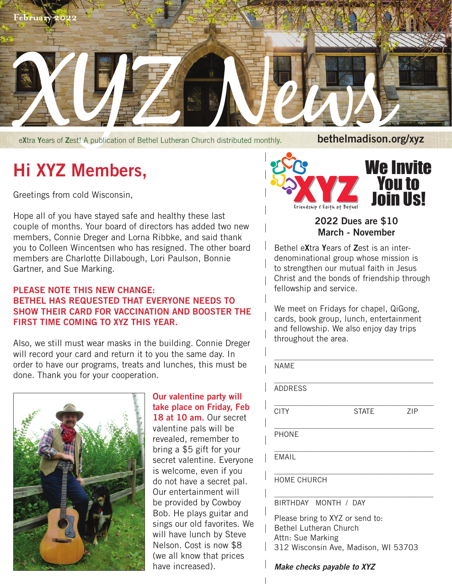

e**X**tra **Y**ears of **Z**est! A publication of Bethel Lutheran Church distributed monthly.

## **Hi XYZ Members,**

Greetings from cold Wisconsin,

Hope all of you have stayed safe and healthy these last couple of months. Your board of directors has added two new members, Connie Dreger and Lorna Ribbke, and said thank you to Colleen Wincentsen who has resigned. The other board members are Charlotte Dillabough, Lori Paulson, Bonnie Gartner, and Sue Marking.

## **PLEASE NOTE THIS NEW CHANGE: BETHEL HAS REQUESTED THAT EVERYONE NEEDS TO SHOW THEIR CARD FOR VACCINATION AND BOOSTER THE FIRST TIME COMING TO XYZ THIS YEAR.**

Also, we still must wear masks in the building. Connie Dreger will record your card and return it to you the same day. In order to have our programs, treats and lunches, this must be done. Thank you for your cooperation.



**Our valentine party will take place on Friday, Feb**  18 at 10 am. Our secret valentine pals will be revealed, remember to bring a \$5 gift for your secret valentine. Everyone is welcome, even if you do not have a secret pal. Our entertainment will be provided by Cowboy Bob. He plays guitar and sings our old favorites. We will have lunch by Steve Nelson. Cost is now \$8 (we all know that prices have increased).



## **2022 Dues are \$10 March - November**

Bethel e**X**tra **Y**ears of **Z**est is an interdenominational group whose mission is to strengthen our mutual faith in Jesus Christ and the bonds of friendship through fellowship and service.

We meet on Fridays for chapel, QiGong, cards, book group, lunch, entertainment and fellowship. We also enjoy day trips throughout the area.

| <b>NAME</b>          |              |     |
|----------------------|--------------|-----|
| <b>ADDRESS</b>       |              |     |
| <b>CITY</b>          | <b>STATE</b> | ZIP |
| <b>PHONE</b>         |              |     |
| <b>EMAIL</b>         |              |     |
| <b>HOME CHURCH</b>   |              |     |
| BIRTHDAY MONTH / DAY |              |     |

Please bring to XYZ or send to: Bethel Lutheran Church Attn: Sue Marking 312 Wisconsin Ave, Madison, WI 53703

*Make checks payable to XYZ*